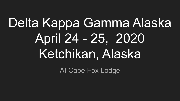# Delta Kappa Gamma Alaska April 24 - 25, 2020 Ketchikan, Alaska

At Cape Fox Lodge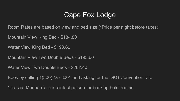#### Cape Fox Lodge

Room Rates are based on view and bed size (\*Price per night before taxes):

Mountain View King Bed - \$184.80

Water View King Bed - \$193.60

Mountain View Two Double Beds - \$193.60

Water View Two Double Beds - \$202.40

Book by calling 1(800)225-8001 and asking for the DKG Convention rate.

\*Jessica Meehan is our contact person for booking hotel rooms.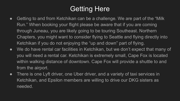### Getting Here

- Getting to and from Ketchikan can be a challenge. We are part of the "Milk" Run." When booking your flight please be aware that if you are coming through Juneau, you are likely going to be touring Southeast. Northern Chapters, you might want to consider flying to Seattle and flying directly into Ketchikan if you do not enjoying the "up and down" part of flying.
- We do have rental car facilities in Ketchikan, but we don't expect that many of you will need a rental car. Ketchikan is extremely small, Cape Fox is located within walking distance of downtown. Cape Fox will provide a shuttle to and from the airport.
- There is one Lyft driver, one Uber driver, and a variety of taxi services in Ketchikan, and Epsilon members are willing to drive our DKG sisters as needed.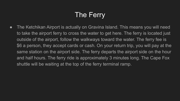## The Ferry

• The Ketchikan Airport is actually on Gravina Island. This means you will need to take the airport ferry to cross the water to get here. The ferry is located just outside of the airport, follow the walkways toward the water. The ferry fee is \$6 a person, they accept cards or cash. On your return trip, you will pay at the same station on the airport side. The ferry departs the airport side on the hour and half hours. The ferry ride is approximately 3 minutes long. The Cape Fox shuttle will be waiting at the top of the ferry terminal ramp.